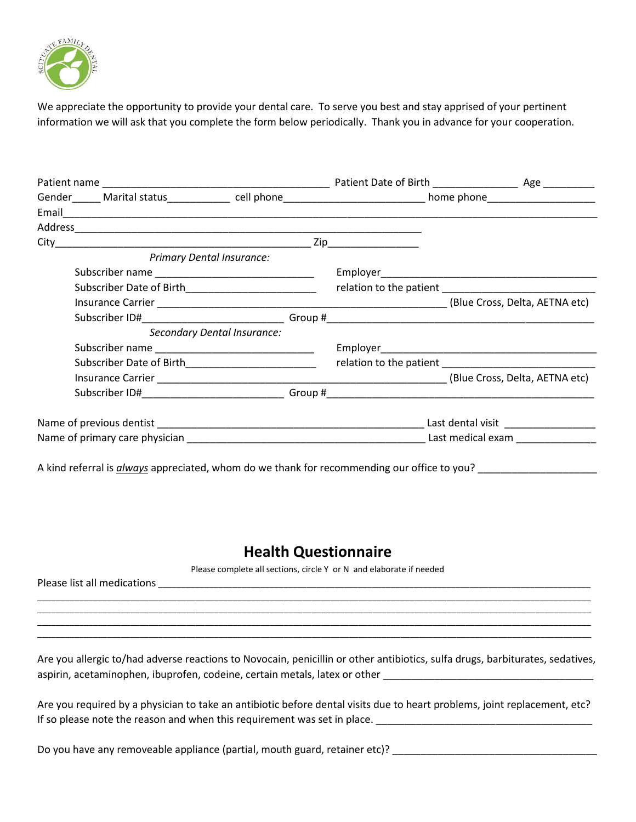

We appreciate the opportunity to provide your dental care. To serve you best and stay apprised of your pertinent information we will ask that you complete the form below periodically. Thank you in advance for your cooperation.

| Gender______ Marital status_____________ cell phone_____________________________ home phone___________________ |                                     |
|----------------------------------------------------------------------------------------------------------------|-------------------------------------|
|                                                                                                                |                                     |
|                                                                                                                |                                     |
|                                                                                                                |                                     |
| City                                                                                                           |                                     |
| <b>Primary Dental Insurance:</b>                                                                               |                                     |
|                                                                                                                |                                     |
|                                                                                                                |                                     |
|                                                                                                                |                                     |
|                                                                                                                |                                     |
| Secondary Dental Insurance:                                                                                    |                                     |
|                                                                                                                |                                     |
| Subscriber Date of Birth________________________                                                               |                                     |
|                                                                                                                |                                     |
|                                                                                                                |                                     |
|                                                                                                                | Last dental visit _________________ |
|                                                                                                                | Last medical exam _______________   |

A kind referral is *always* appreciated, whom do we thank for recommending our office to you?

## **Health Questionnaire**

Please complete all sections, circle Y or N and elaborate if needed

| Please list<br>$\sim$<br>all<br>. |  |       |
|-----------------------------------|--|-------|
|                                   |  |       |
|                                   |  | _____ |

\_\_\_\_\_\_\_\_\_\_\_\_\_\_\_\_\_\_\_\_\_\_\_\_\_\_\_\_\_\_\_\_\_\_\_\_\_\_\_\_\_\_\_\_\_\_\_\_\_\_\_\_\_\_\_\_\_\_\_\_\_\_\_\_\_\_\_\_\_\_\_\_\_\_\_\_\_\_\_\_\_\_\_\_\_\_\_\_\_\_\_\_\_\_\_\_\_\_\_\_\_\_\_\_\_\_\_\_\_\_\_\_\_\_\_\_\_\_\_ \_\_\_\_\_\_\_\_\_\_\_\_\_\_\_\_\_\_\_\_\_\_\_\_\_\_\_\_\_\_\_\_\_\_\_\_\_\_\_\_\_\_\_\_\_\_\_\_\_\_\_\_\_\_\_\_\_\_\_\_\_\_\_\_\_\_\_\_\_\_\_\_\_\_\_\_\_\_\_\_\_\_\_\_\_\_\_\_\_\_\_\_\_\_\_\_\_\_\_\_\_\_\_\_\_\_\_\_\_\_\_\_\_\_\_\_\_\_\_

Are you allergic to/had adverse reactions to Novocain, penicillin or other antibiotics, sulfa drugs, barbiturates, sedatives, aspirin, acetaminophen, ibuprofen, codeine, certain metals, latex or other **with any contract of the set of the s** 

Are you required by a physician to take an antibiotic before dental visits due to heart problems, joint replacement, etc? If so please note the reason and when this requirement was set in place.

Do you have any removeable appliance (partial, mouth guard, retainer etc)? \_\_\_\_\_\_\_\_\_\_\_\_\_\_\_\_\_\_\_\_\_\_\_\_\_\_\_\_\_\_\_\_\_\_\_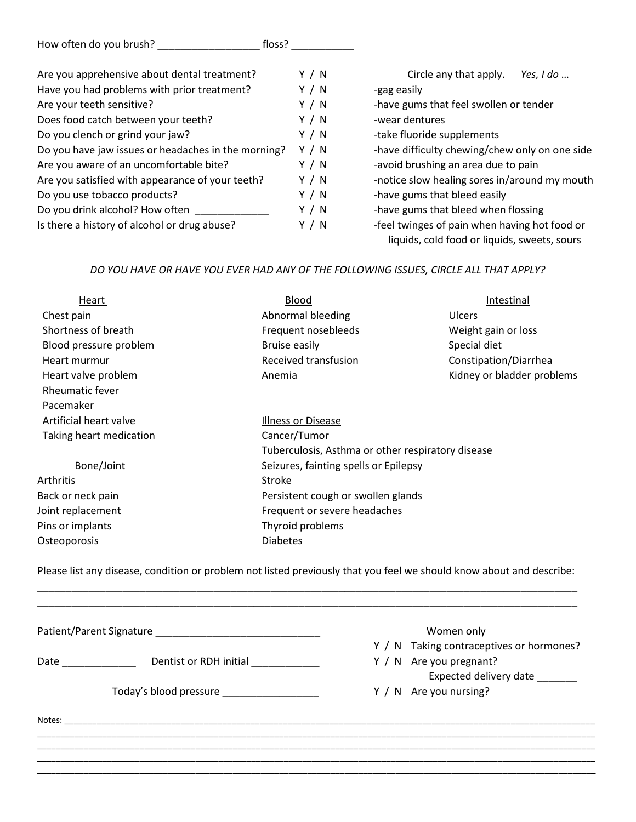| How often do you brush? | floss? |
|-------------------------|--------|
|                         |        |

| Are you apprehensive about dental treatment?        | Y / N | Circle any that apply.<br>Yes, I do            |
|-----------------------------------------------------|-------|------------------------------------------------|
| Have you had problems with prior treatment?         | Y / N | -gag easily                                    |
| Are your teeth sensitive?                           | Y / N | -have gums that feel swollen or tender         |
| Does food catch between your teeth?                 | Y / N | -wear dentures                                 |
| Do you clench or grind your jaw?                    | Y / N | -take fluoride supplements                     |
| Do you have jaw issues or headaches in the morning? | Y / N | -have difficulty chewing/chew only on one side |
| Are you aware of an uncomfortable bite?             | Y / N | -avoid brushing an area due to pain            |
| Are you satisfied with appearance of your teeth?    | Y / N | -notice slow healing sores in/around my mouth  |
| Do you use tobacco products?                        | Y / N | -have gums that bleed easily                   |
| Do you drink alcohol? How often                     | Y / N | -have gums that bleed when flossing            |
| Is there a history of alcohol or drug abuse?        | Y / N | -feel twinges of pain when having hot food or  |
|                                                     |       | liquids, cold food or liquids, sweets, sours   |

### *DO YOU HAVE OR HAVE YOU EVER HAD ANY OF THE FOLLOWING ISSUES, CIRCLE ALL THAT APPLY?*

| Heart                   | Blood<br>Intestinal                               |                       |  |
|-------------------------|---------------------------------------------------|-----------------------|--|
| Chest pain              | Abnormal bleeding                                 | <b>Ulcers</b>         |  |
| Shortness of breath     | Frequent nosebleeds<br>Weight gain or loss        |                       |  |
| Blood pressure problem  | <b>Bruise easily</b><br>Special diet              |                       |  |
| Heart murmur            | Received transfusion                              | Constipation/Diarrhea |  |
| Heart valve problem     | Kidney or bladder problems<br>Anemia              |                       |  |
| <b>Rheumatic fever</b>  |                                                   |                       |  |
| Pacemaker               |                                                   |                       |  |
| Artificial heart valve  | Illness or Disease                                |                       |  |
| Taking heart medication | Cancer/Tumor                                      |                       |  |
|                         | Tuberculosis, Asthma or other respiratory disease |                       |  |
| Bone/Joint              | Seizures, fainting spells or Epilepsy             |                       |  |
| Arthritis               | Stroke                                            |                       |  |
| Back or neck pain       | Persistent cough or swollen glands                |                       |  |
| Joint replacement       | Frequent or severe headaches                      |                       |  |
| Pins or implants        | Thyroid problems                                  |                       |  |
| Osteoporosis            | <b>Diabetes</b>                                   |                       |  |
|                         |                                                   |                       |  |

Please list any disease, condition or problem not listed previously that you feel we should know about and describe: \_\_\_\_\_\_\_\_\_\_\_\_\_\_\_\_\_\_\_\_\_\_\_\_\_\_\_\_\_\_\_\_\_\_\_\_\_\_\_\_\_\_\_\_\_\_\_\_\_\_\_\_\_\_\_\_\_\_\_\_\_\_\_\_\_\_\_\_\_\_\_\_\_\_\_\_\_\_\_\_\_\_\_\_\_\_\_\_\_\_\_\_\_\_\_

|                      |                                            | Women only                               |
|----------------------|--------------------------------------------|------------------------------------------|
|                      |                                            | Y / N Taking contraceptives or hormones? |
| Date _______________ | Dentist or RDH initial                     | Y / N Are you pregnant?                  |
|                      |                                            | Expected delivery date _______           |
|                      | Today's blood pressure ___________________ | Y / N Are you nursing?                   |
| Notes: $\_\_$        |                                            |                                          |
|                      |                                            |                                          |
|                      |                                            |                                          |